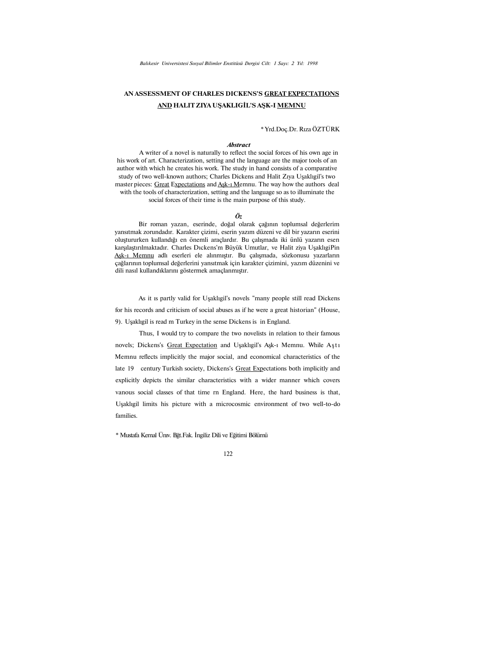# **AN ASSESSMENT OF CHARLES DICKENS'S GREAT EXPECTATIONS AND HALIT ZIYA UŞAKLIGİL'S AŞK-I MEMNU**

#### \* Yrd.Doç.Dr. Rıza ÖZTÜRK

#### *Abstract*

A writer of a novel is naturally to reflect the social forces of his own age in his work of art. Characterization, setting and the language are the major tools of an author with which he creates his work. The study in hand consists of a comparative study of two well-known authors; Charles Dickens and Halit Zıya Uşaklıgil's two master pieces: Great Expectations and Ask-1 Memnu. The way how the authors deal with the tools of characterization, setting and the language so as to illuminate the social forces of their time is the main purpose of this study.

#### *Öz*

Bir roman yazan, eserinde, doğal olarak çağının toplumsal değerlerim yansıtmak zorundadır. Karakter çizimi, eserin yazım düzeni ve dil bir yazarın eserini oluştururken kullandığı en önemli araçlardır. Bu çalışmada iki ünlü yazarın esen karşılaştırılmaktadır. Charles Dıckens'm Büyük Umutlar, ve Halit ziya UşaklıgiPin Aşk-ı Memnu adlı eserleri ele alınmıştır. Bu çalışmada, sözkonusu yazarların çağlarının toplumsal değerlerini yansıtmak için karakter çizimini, yazım düzenini ve dili nasıl kullandıklarını göstermek amaçlanmıştır.

As it ıs partly valid for Uşaklıgil's novels "many people still read Dickens for his records and criticism of social abuses as if he were a great historian" (House,

9). Uşaklıgil is read m Turkey in the sense Dickens is in England.

Thus, I would try to compare the two novelists in relation to their famous novels; Dickens's Great Expectation and Uşaklıgil's Aşk-ı Memnu. While Aştı Memnu reflects implicitly the major social, and economical characteristics of the late 19 century Turkish society, Dickens's Great Expectations both implicitly and explicitly depicts the similar characteristics with a wider manner which covers vanous social classes of that time rn England. Here, the hard business is that, Uşaklıgil limits his picture with a microcosmic environment of two well-to-do families.

\* Mustafa Kemal Ünıv. Bğt.Fak. İngiliz Dili ve Eğitimi Bölümü

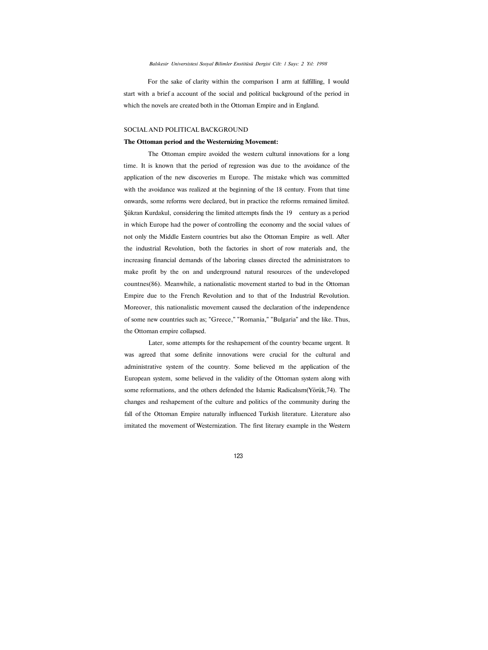For the sake of clarity within the comparison I arm at fulfilling, I would start with a brief a account of the social and political background of the period in which the novels are created both in the Ottoman Empire and in England.

#### SOCIAL AND POLITICAL BACKGROUND

#### **The Ottoman period and the Westernizing Movement:**

The Ottoman empire avoided the western cultural innovations for a long time. It is known that the period of regression was due to the avoidance of the application of the new discoveries m Europe. The mistake which was committed with the avoidance was realized at the beginning of the 18 century. From that time onwards, some reforms were declared, but in practice the reforms remained limited. Şükran Kurdakul, considering the limited attempts finds the 19 century as a period in which Europe had the power of controlling the economy and the social values of not only the Middle Eastern countries but also the Ottoman Empire as well. After the industrial Revolution, both the factories in short of row materials and, the increasing financial demands of the laboring classes directed the administrators to make profit by the on and underground natural resources of the undeveloped countnes(86). Meanwhile, a nationalistic movement started to bud in the Ottoman Empire due to the French Revolution and to that of the Industrial Revolution. Moreover, this nationalistic movement caused the declaration of the independence of some new countries such as; "Greece," "Romania," "Bulgaria" and the like. Thus, the Ottoman empire collapsed.

Later, some attempts for the reshapement of the country became urgent. It was agreed that some definite innovations were crucial for the cultural and administrative system of the country. Some believed m the application of the European system, some believed in the validity of the Ottoman system along with some reformations, and the others defended the Islamic Radicalısm(Yörük,74). The changes and reshapement of the culture and politics of the community during the fall of the Ottoman Empire naturally influenced Turkish literature. Literature also imitated the movement of Westernization. The first literary example in the Western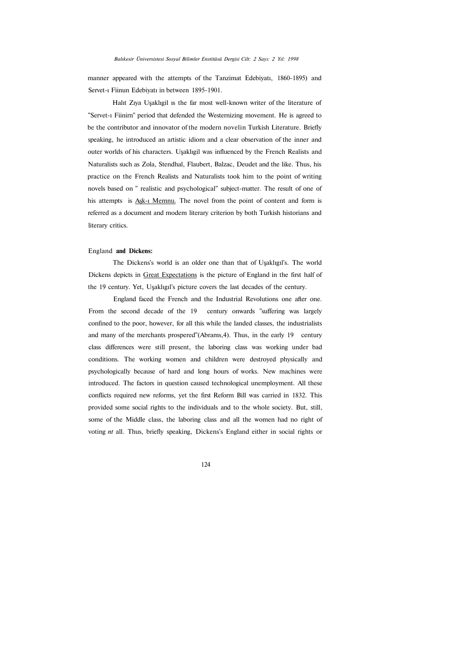manner appeared with the attempts of the Tanzimat Edebiyatı, 1860-1895) and Servet-ı Fiinun Edebiyatı in between 1895-1901.

Halıt Zıya Uşaklıgil ıs the far most well-known writer of the literature of "Servet-ı Fiinirn" period that defended the Westernizing movement. He is agreed to be the contributor and innovator of the modern novelin Turkish Literature. Briefly speaking, he introduced an artistic idiom and a clear observation of the inner and outer worlds of his characters. Uşaklıgil was influenced by the French Realists and Naturalists such as Zola, Stendhal, Flaubert, Balzac, Deudet and the like. Thus, his practice on the French Realists and Naturalists took him to the point of writing novels based on " realistic and psychological" subject-matter. The result of one of his attempts is Ask-1 Memnu. The novel from the point of content and form is referred as a document and modem literary criterion by both Turkish historians and literary critics.

#### England **and Dickens:**

The Dickens's world is an older one than that of Uşaklıgıl's. The world Dickens depicts in Great Expectations is the picture of England in the first half of the 19 century. Yet, Uşaklıgıl's picture covers the last decades of the century.

England faced the French and the Industrial Revolutions one after one. From the second decade of the 19 century onwards "suffering was largely confined to the poor, however, for all this while the landed classes, the industrialists and many of the merchants prospered"(Abrams,4). Thus, in the early 19 century class differences were still present, the laboring class was working under bad conditions. The working women and children were destroyed physically and psychologically because of hard and long hours of works. New machines were introduced. The factors in question caused technological unemployment. All these conflicts required new reforms, yet the first Reform Bill was carried in 1832. This provided some social rights to the individuals and to the whole society. But, still, some of the Middle class, the laboring class and all the women had no right of voting *nt* all. Thus, briefly speaking, Dickens's England either in social rights or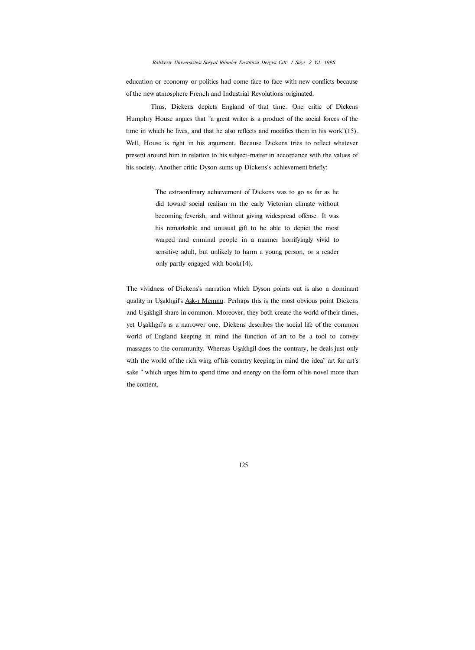education or economy or politics had come face to face with new conflicts because of the new atmosphere French and Industrial Revolutions originated.

Thus, Dickens depicts England of that time. One critic of Dickens Humphry House argues that "a great writer is a product of the social forces of the time in which he lives, and that he also reflects and modifies them in his work"(15). Well, House is right in his argument. Because Dickens tries to reflect whatever present around him in relation to his subject-matter in accordance with the values of his society. Another critic Dyson sums up Dickens's achievement briefly:

> The extraordinary achievement of Dickens was to go as far as he did toward social realism rn the early Victorian climate without becoming feverish, and without giving widespread offense. It was his remarkable and unusual gift to be able to depict the most warped and cnminal people in a manner horrifyingly vivid to sensitive adult, but unlikely to harm a young person, or a reader only partly engaged with book(14).

The vividness of Dickens's narration which Dyson points out is also a dominant quality in Uşaklıgil's Aşk-ı Memnu. Perhaps this is the most obvious point Dickens and Uşaklıgil share in common. Moreover, they both create the world of their times, yet Uşaklıgıl's ıs a narrower one. Dickens describes the social life of the common world of England keeping in mind the function of art to be a tool to convey massages to the community. Whereas Uşaklıgil does the contrary, he deals just only with the world of the rich wing of his country keeping in mind the idea" art for art's sake " which urges him to spend time and energy on the form of his novel more than the content.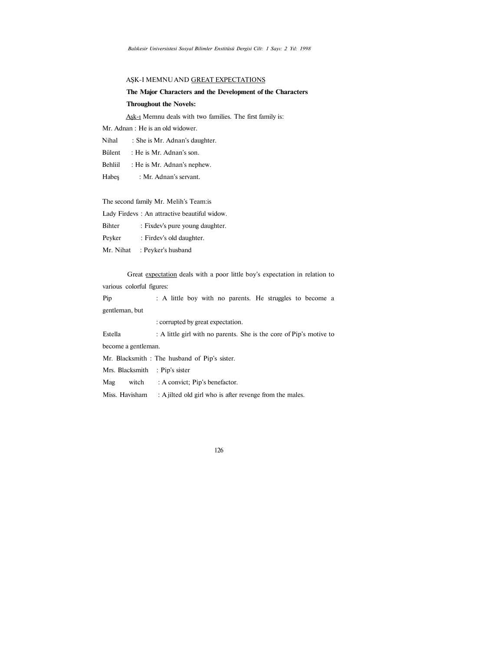## AŞK-I MEMNU AND GREAT EXPECTATIONS

# **The Major Characters and the Development of the Characters**

## **Throughout the Novels:**

Aşk-ı Memnu deals with two families. The first family is:

Mr. Adnan : He is an old widower.

Nihal : She is Mr. Adnan's daughter.

- Bülent : He is Mr. Adnan's son.
- Behliil : He is Mr. Adnan's nephew.
- Habeş : Mr. Adnan's servant.

The second family Mr. Melih's Team:is

Lady Firdevs : An attractive beautiful widow.

Bihter : Fixdev's pure young daughter.

- Peyker : Firdev's old daughter.
- Mr. Nihat : Peyker's husband

Great expectation deals with a poor little boy's expectation in relation to various colorful figures:

| Pip            |  |  |  |  | : A little boy with no parents. He struggles to become a |  |  |
|----------------|--|--|--|--|----------------------------------------------------------|--|--|
| gentleman, but |  |  |  |  |                                                          |  |  |

: corrupted by great expectation.

Estella : A little girl with no parents. She is the core of Pip's motive to become a gentleman.

Mr. Blacksmith : The husband of Pip's sister.

Mrs. Blacksmith : Pip's sister

Mag witch : A convict; Pip's benefactor.

Miss. Havisham : A jilted old girl who is after revenge from the males.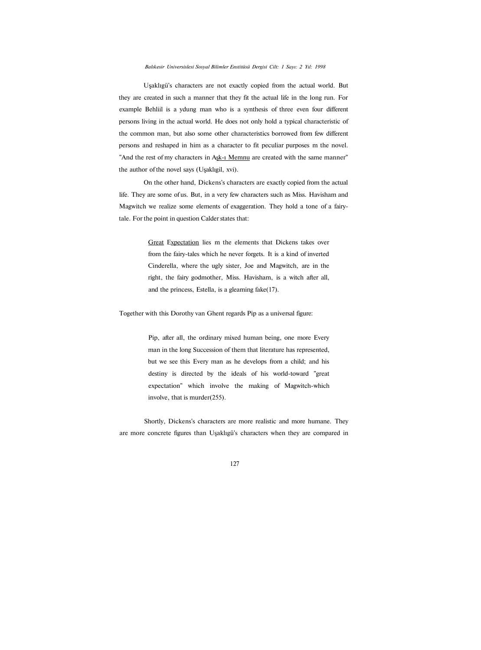Uşaklıgü's characters are not exactly copied from the actual world. But they are created in such a manner that they fit the actual life in the long run. For example Behliil is a ydung man who is a synthesis of three even four different persons living in the actual world. He does not only hold a typical characteristic of the common man, but also some other characteristics borrowed from few different persons and reshaped in him as a character to fit peculiar purposes m the novel. "And the rest of my characters in Ask-1 Memnu are created with the same manner" the author of the novel says (Uşaklıgil, xvi).

On the other hand, Dickens's characters are exactly copied from the actual life. They are some of us. But, in a very few characters such as Miss. Havisham and Magwitch we realize some elements of exaggeration. They hold a tone of a fairytale. For the point in question Calder states that:

> Great Expectation lies m the elements that Dickens takes over from the fairy-tales which he never forgets. It is a kind of inverted Cinderella, where the ugly sister, Joe and Magwitch, are in the right, the fairy godmother, Miss. Havisham, is a witch after all, and the princess, Estella, is a gleaming fake(17).

Together with this Dorothy van Ghent regards Pip as a universal figure:

Pip, after all, the ordinary mixed human being, one more Every man in the long Succession of them that literature has represented, but we see this Every man as he develops from a child; and his destiny is directed by the ideals of his world-toward "great expectation" which involve the making of Magwitch-which involve, that is murder(255).

Shortly, Dickens's characters are more realistic and more humane. They are more concrete figures than Uşaklıgü's characters when they are compared in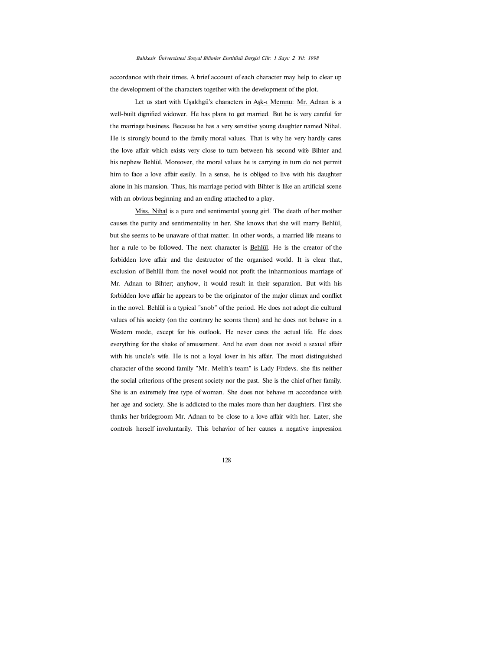#### *Balıkesir Üniversistesi Sosyal Bilimler Enstitüsü Dergisi Cilt: 1 Sayı: 2 Yıl: 1998*

accordance with their times. A brief account of each character may help to clear up the development of the characters together with the development of the plot.

Let us start with Uşakhgü's characters in Aşk-ı Memnu: Mr. Adnan is a well-built dignified widower. He has plans to get married. But he is very careful for the marriage business. Because he has a very sensitive young daughter named Nihal. He is strongly bound to the family moral values. That is why he very hardly cares the love affair which exists very close to turn between his second wife Bihter and his nephew Behlül. Moreover, the moral values he is carrying in turn do not permit him to face a love affair easily. In a sense, he is obliged to live with his daughter alone in his mansion. Thus, his marriage period with Bihter is like an artificial scene with an obvious beginning and an ending attached to a play.

Miss. Nihal is a pure and sentimental young girl. The death of her mother causes the purity and sentimentality in her. She knows that she will marry Behlül, but she seems to be unaware of that matter. In other words, a married life means to her a rule to be followed. The next character is Behlül. He is the creator of the forbidden love affair and the destructor of the organised world. It is clear that, exclusion of Behlül from the novel would not profit the inharmonious marriage of Mr. Adnan to Bihter; anyhow, it would result in their separation. But with his forbidden love affair he appears to be the originator of the major climax and conflict in the novel. Behlül is a typical "snob" of the period. He does not adopt die cultural values of his society (on the contrary he scorns them) and he does not behave in a Western mode, except for his outlook. He never cares the actual life. He does everything for the shake of amusement. And he even does not avoid a sexual affair with his uncle's wife. He is not a loyal lover in his affair. The most distinguished character of the second family "Mr. Melih's team" is Lady Firdevs. she fits neither the social criterions of the present society nor the past. She is the chief of her family. She is an extremely free type of woman. She does not behave m accordance with her age and society. She is addicted to the males more than her daughters. First she thmks her bridegroom Mr. Adnan to be close to a love affair with her. Later, she controls herself involuntarily. This behavior of her causes a negative impression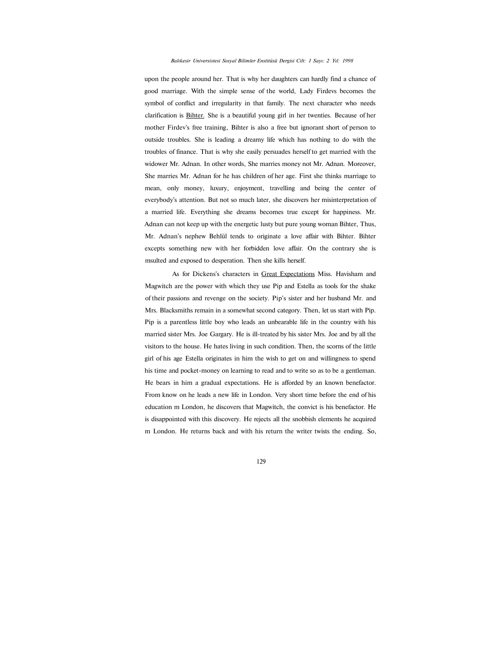#### *Balıkesir Universistesi Sosyal Bilimler Enstitüsü Dergisi Cilt: 1 Sayı: 2 Yıl: 1998*

upon the people around her. That is why her daughters can hardly find a chance of good marriage. With the simple sense of the world, Lady Firdevs becomes the symbol of conflict and irregularity in that family. The next character who needs clarification is Bihter. She is a beautiful young girl in her twenties. Because of her mother Firdev's free training, Bihter is also a free but ignorant short of person to outside troubles. She is leading a dreamy life which has nothing to do with the troubles of finance. That is why she easily persuades herself to get married with the widower Mr. Adnan. In other words, She marries money not Mr. Adnan. Moreover, She marries Mr. Adnan for he has children of her age. First she thinks marriage to mean, only money, luxury, enjoyment, travelling and being the center of everybody's attention. But not so much later, she discovers her misinterpretation of a married life. Everything she dreams becomes true except for happiness. Mr. Adnan can not keep up with the energetic lusty but pure young woman Bihter, Thus, Mr. Adnan's nephew Behlül tends to originate a love affair with Bihter. Bihter excepts something new with her forbidden love affair. On the contrary she is msulted and exposed to desperation. Then she kills herself.

As for Dickens's characters in Great Expectations Miss. Havisham and Magwitch are the power with which they use Pip and Estella as tools for the shake of their passions and revenge on the society. Pip's sister and her husband Mr. and Mrs. Blacksmiths remain in a somewhat second category. Then, let us start with Pip. Pip is a parentless little boy who leads an unbearable life in the country with his married sister Mrs. Joe Gargary. He is ill-treated by his sister Mrs. Joe and by all the visitors to the house. He hates living in such condition. Then, the scorns of the little girl of his age Estella originates in him the wish to get on and willingness to spend his time and pocket-money on learning to read and to write so as to be a gentleman. He bears in him a gradual expectations. He is afforded by an known benefactor. From know on he leads a new life in London. Very short time before the end of his education m London, he discovers that Magwitch, the convict is his benefactor. He is disappointed with this discovery. He rejects all the snobbish elements he acquired m London. He returns back and with his return the writer twists the ending. So,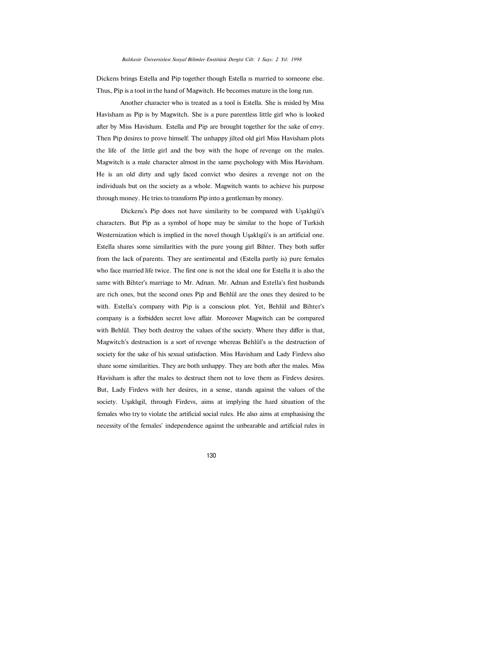#### *Balıkesir Üniversislesi Sosyal Bilimler Enstitüsü Dergisi Cilt: 1 Sayı: 2 Yıl: 1998*

Dickens brings Estella and Pip together though Estella ıs married to someone else. Thus, Pip is a tool in the hand of Magwitch. He becomes mature in the long run.

Another character who is treated as a tool is Estella. She is misled by Miss Havisham as Pip is by Magwitch. She is a pure parentless little girl who is looked after by Miss Havisham. Estella and Pip are brought together for the sake of envy. Then Pip desires to prove himself. The unhappy jilted old girl Miss Havisham plots the life of the little girl and the boy with the hope of revenge on the males. Magwitch is a male character almost in the same psychology with Miss Havisham. He is an old dirty and ugly faced convict who desires a revenge not on the individuals but on the society as a whole. Magwitch wants to achieve his purpose through money. He tries to transform Pip into a gentleman by money.

Dickens's Pip does not have similarity to be compared with Uşaklıgü's characters. But Pip as a symbol of hope may be similar to the hope of Turkish Westernization which is implied in the novel though Uşaklıgü's is an artificial one. Estella shares some similarities with the pure young girl Bihter. They both suffer from the lack of parents. They are sentimental and (Estella partly is) pure females who face married life twice. The first one is not the ideal one for Estella it is also the same with Bihter's marriage to Mr. Adnan. Mr. Adnan and Estella's first husbands are rich ones, but the second ones Pip and Behlül are the ones they desired to be with. Estella's company with Pip is a conscious plot. Yet, Behlül and Bihter's company is a forbidden secret love affair. Moreover Magwitch can be compared with Behlül. They both destroy the values of the society. Where they differ is that, Magwitch's destruction is a sort of revenge whereas Behlül's ıs the destruction of society for the sake of his sexual satisfaction. Miss Havisham and Lady Firdevs also share some similarities. They are both unhappy. They are both after the males. Miss Havisham is after the males to destruct them not to love them as Firdevs desires. But, Lady Firdevs with her desires, in a sense, stands against the values of the society. Uşaklıgil, through Firdevs, aims at implying the hard situation of the females who try to violate the artificial social rules. He also aims at emphasising the necessity of the females' independence against the unbearable and artificial rules in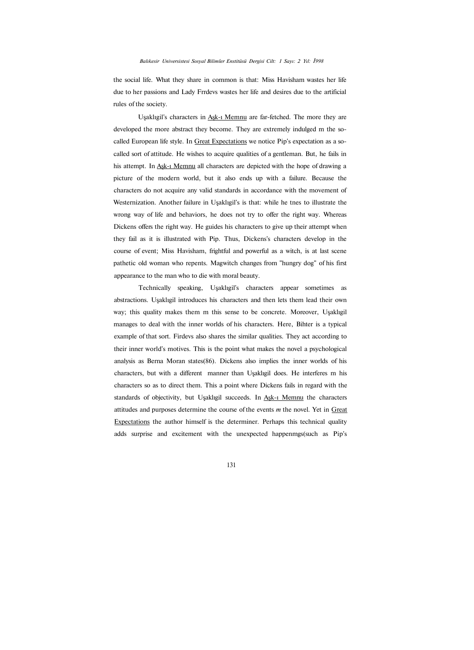the social life. What they share in common is that: Miss Havisham wastes her life due to her passions and Lady Frrdevs wastes her life and desires due to the artificial rules of the society.

Uşaklıgil's characters in Aşk-ı Memnu are far-fetched. The more they are developed the more abstract they become. They are extremely indulged m the socalled European life style. In Great Expectations we notice Pip's expectation as a socalled sort of attitude. He wishes to acquire qualities of a gentleman. But, he fails in his attempt. In Ask-1 Memnu all characters are depicted with the hope of drawing a picture of the modern world, but it also ends up with a failure. Because the characters do not acquire any valid standards in accordance with the movement of Westernization. Another failure in Uşaklıgil's is that: while he tnes to illustrate the wrong way of life and behaviors, he does not try to offer the right way. Whereas Dickens offers the right way. He guides his characters to give up their attempt when they fail as it is illustrated with Pip. Thus, Dickens's characters develop in the course of event; Miss Havisham, frightful and powerful as a witch, is at last scene pathetic old woman who repents. Magwitch changes from "hungry dog" of his first appearance to the man who to die with moral beauty.

Technically speaking, Uşaklıgil's characters appear sometimes as abstractions. Uşaklıgil introduces his characters and then lets them lead their own way; this quality makes them m this sense to be concrete. Moreover, Uşaklıgil manages to deal with the inner worlds of his characters. Here, Bihter is a typical example of that sort. Firdevs also shares the similar qualities. They act according to their inner world's motives. This is the point what makes the novel a psychological analysis as Berna Moran states(86). Dickens also implies the inner worlds of his characters, but with a different manner than Uşaklıgil does. He interferes m his characters so as to direct them. This a point where Dickens fails in regard with the standards of objectivity, but Uşaklıgil succeeds. In Aşk-1 Memnu the characters attitudes and purposes determine the course of the events *m* the novel. Yet in Great Expectations the author himself is the determiner. Perhaps this technical quality adds surprise and excitement with the unexpected happenmgs(such as Pip's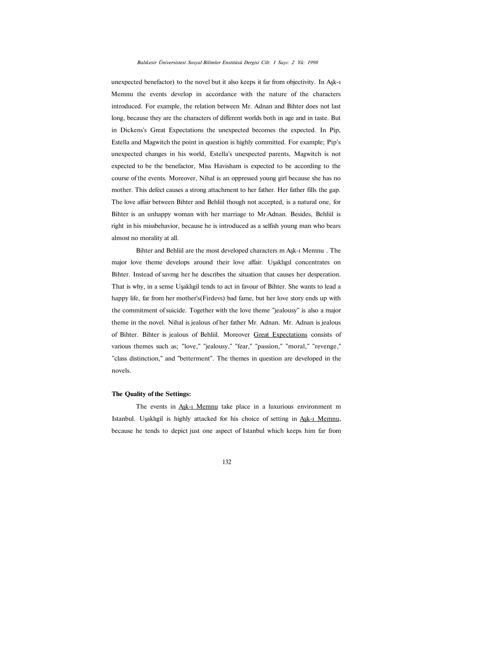#### *Balıkesir Üniversistesi Sosyal Bilimler Enstitüsü Dergisi Cilt: 1 Sayı: 2 Yû: 1998*

unexpected benefactor) to the novel but it also keeps it far from objectivity. In Aşk-ı Memnu the events develop in accordance with the nature of the characters introduced. For example, the relation between Mr. Adnan and Bihter does not last long, because they are the characters of different worlds both in age and in taste. But in Dickens's Great Expectations the unexpected becomes the expected. In Pip, Estella and Magwitch the point in question is highly committed. For example; Pip's unexpected changes in his world, Estella's unexpected parents, Magwitch is not expected to be the benefactor, Miss Havisham is expected to be according to the course of the events. Moreover, Nihal is an oppressed young girl because she has no mother. This defect causes a strong attachment to her father. Her father fills the gap. The love affair between Bihter and Behliil though not accepted, is a natural one, for Bihter is an unhappy woman with her marriage to Mr.Adnan. Besides, Behliil is right in his missbehavior, because he is introduced as a selfish young man who bears almost no morality at all.

Bihter and Behliil are the most developed characters m Aşk-ı Memnu . The major love theme develops around their love affair. Uşaklıgıl concentrates on Bihter. Instead of savmg her he describes the situation that causes her desperation. That is why, in a sense Uşaklıgil tends to act in favour of Bihter. She wants to lead a happy life, far from her mother's(Firdevs) bad fame, but her love story ends up with the commitment of suicide. Together with the love theme "jealousy" is also a major theme in the novel. Nihal is jealous of her father Mr. Adnan. Mr. Adnan is jealous of Bihter. Bihter is jealous of Behliil. Moreover Great Expectations consists of various themes such as; "love," "jealousy," "fear," "passion," "moral," "revenge," "class distinction," and "betterment". The themes in question are developed in the novels.

#### **The Quality of the Settings:**

The events in Ask-1 Memnu take place in a luxurious environment m Istanbul. Uşaklıgil is highly attacked for his choice of setting in Ask-1 Memnu, because he tends to depict just one aspect of Istanbul which keeps him far from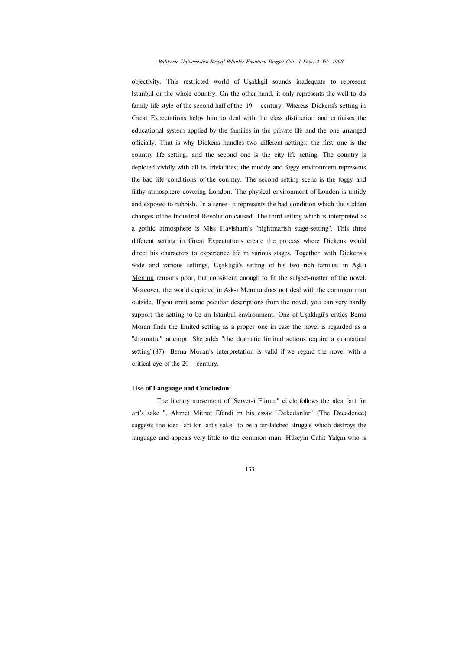#### *Balıkesir Üniversistesi Sosyal Bilimler Enstitüsü Dergisi Cilt: 1 Sayı: 2 Yıl: 1998*

objectivity. This restricted world of Uşaklıgil sounds inadequate to represent Istanbul or the whole country. On the other hand, it only represents the well to do family life style of the second half of the 19 century. Whereas Dickens's setting in Great Expectations helps him to deal with the class distinction and criticises the educational system applied by the families in the private life and the one arranged officially. That is why Dickens handles two different settings; the first one is the country life setting, and the second one is the city life setting. The country is depicted vividly with all its trivialities; the muddy and foggy environment represents the bad life conditions of the country. The second setting scene is the foggy and filthy atmosphere covering London. The physical environment of London is untidy and exposed to rubbish. In a sense- it represents the bad condition which the sudden changes of the Industrial Revolution caused. The third setting which is interpreted as a gothic atmosphere is Miss Havisham's "nightmarish stage-setting". This three different setting in Great Expectations create the process where Dickens would direct his characters to experience life m various stages. Together with Dickens's wide and various settings, Uşaklıgü's setting of his two rich families in Aşk-ı Memnu remams poor, but consistent enough to fit the subject-matter of the novel. Moreover, the world depicted in Ask-1 Memnu does not deal with the common man outside. If you omit some peculiar descriptions from the novel, you can very hardly support the setting to be an Istanbul environment. One of Uşaklıgü's critics Berna Moran finds the limited setting as a proper one in case the novel is regarded as a "dramatic" attempt. She adds "the dramatic limited actions require a dramatical setting"(87). Berna Moran's interpretation is valid if we regard the novel with a critical eye of the 20 century.

#### Use **of Language and Conclusion:**

The literary movement of "Servet-i Fünun" circle follows the idea "art for art's sake ". Ahmet Mithat Efendi m his essay "Dekedanlar" (The Decadence) suggests the idea "art for art's sake" to be a far-fatched struggle which destroys the language and appeals very little to the common man. Hüseyin Cahit Yalçın who ıs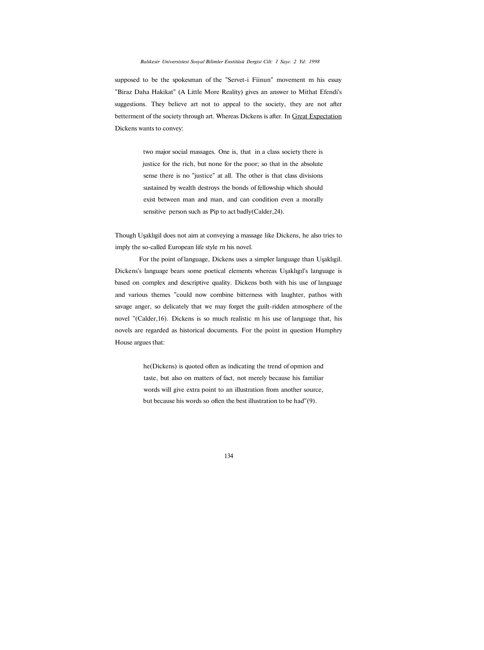supposed to be the spokesman of the "Servet-i Fiinun" movement m his essay "Biraz Daha Hakikat" (A Little More Reality) gives an answer to Mithat Efendi's suggestions. They believe art not to appeal to the society, they are not after betterment of the society through art. Whereas Dickens is after. In Great Expectation Dickens wants to convey:

> two major social massages. One is, that in a class society there is justice for the rich, but none for the poor; so that in the absolute sense there is no "justice" at all. The other is that class divisions sustained by wealth destroys the bonds of fellowship which should exist between man and man, and can condition even a morally sensitive person such as Pip to act badly(Calder,24).

Though Uşaklıgil does not aim at conveying a massage like Dickens, he also tries to imply the so-called European life style rn his novel.

For the point of language, Dickens uses a simpler language than Uşaklıgil. Dickens's language bears some poetical elements whereas Uşaklıgıl's language is based on complex and descriptive quality. Dickens both with his use of language and various themes "could now combine bitterness with laughter, pathos with savage anger, so delicately that we may forget the guilt-ridden atmosphere of the novel "(Calder,16). Dickens is so much realistic m his use of language that, his novels are regarded as historical documents. For the point in question Humphry House argues that:

> he(Dickens) is quoted often as indicating the trend of opmion and taste, but also on matters of fact, not merely because his familiar words will give extra point to an illustration from another source, but because his words so often the best illustration to be had"(9).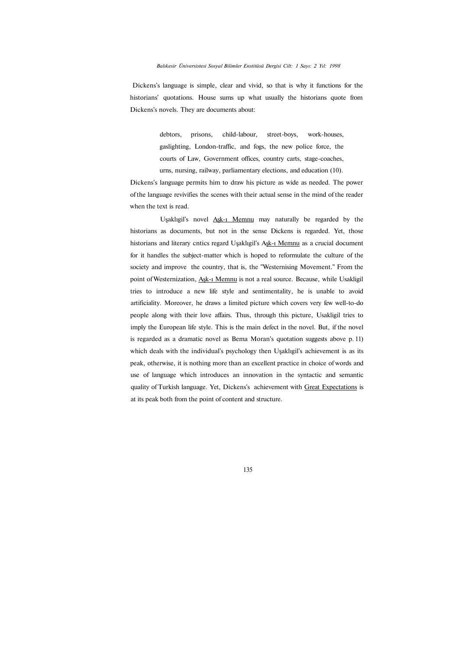Dickens's language is simple, clear and vivid, so that is why it functions for the historians' quotations. House sums up what usually the historians quote from Dickens's novels. They are documents about:

> debtors, prisons, child-labour, street-boys, work-houses, gaslighting, London-traffic, and fogs, the new police force, the courts of Law, Government offices, country carts, stage-coaches, urns, nursing, railway, parliamentary elections, and education (10).

Dickens's language permits him to draw his picture as wide as needed. The power of the language revivifies the scenes with their actual sense in the mind of the reader when the text is read.

Uşaklıgil's novel Aşk-ı Memnu may naturally be regarded by the historians as documents, but not in the sense Dickens is regarded. Yet, those historians and literary cntics regard Uşaklıgil's Aşk-ı Memnu as a crucial document for it handles the subject-matter which is hoped to reformulate the culture of the society and improve the country, that is, the "Westernising Movement." From the point of Westernization, Aşk-ı Memnu is not a real source. Because, while Usakligil tries to introduce a new life style and sentimentality, he is unable to avoid artificiality. Moreover, he draws a limited picture which covers very few well-to-do people along with their love affairs. Thus, through this picture, Usakligil tries to imply the European life style. This is the main defect in the novel. But, if the novel is regarded as a dramatic novel as Bema Moran's quotation suggests above p. 11) which deals with the individual's psychology then Uşaklıgil's achievement is as its peak, otherwise, it is nothing more than an excellent practice in choice of words and use of language which introduces an innovation in the syntactic and semantic quality of Turkish language. Yet, Dickens's achievement with Great Expectations is at its peak both from the point of content and structure.